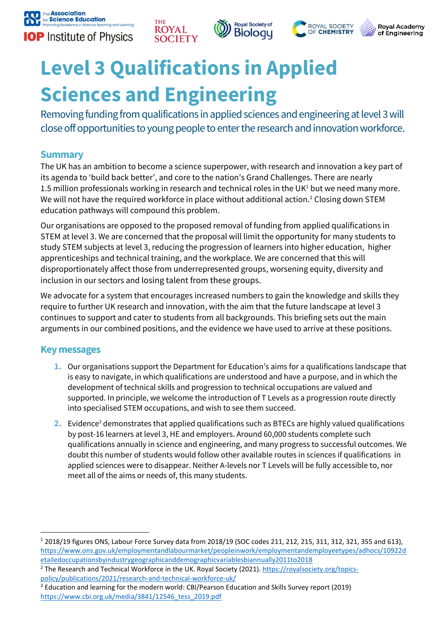







# **Level 3 Qualifications in Applied Sciences and Engineering**

**THE** 

Removing funding from qualifications in applied sciences and engineering at level 3 will close off opportunities to young people to enter the research and innovation workforce.

## **Summary**

The UK has an ambition to become a science superpower, with research and innovation a key part of its agenda to 'build back better', and core to the nation's Grand Challenges. There are nearly 1.5 million professionals working in research and technical roles in the UK<sup>1</sup> but we need many more. We will not have the required workforce in place without additional action.<sup>2</sup> Closing down STEM education pathways will compound this problem.

Our organisations are opposed to the proposed removal of funding from applied qualifications in STEM at level 3. We are concerned that the proposal will limit the opportunity for many students to study STEM subjects at level 3, reducing the progression of learners into higher education, higher apprenticeships and technical training, and the workplace. We are concerned that this will disproportionately affect those from underrepresented groups, worsening equity, diversity and inclusion in our sectors and losing talent from these groups.

We advocate for a system that encourages increased numbers to gain the knowledge and skills they require to further UK research and innovation, with the aim that the future landscape at level 3 continues to support and cater to students from all backgrounds. This briefing sets out the main arguments in our combined positions, and the evidence we have used to arrive at these positions.

## **Key messages**

 $\overline{a}$ 

- **1.** Our organisations support the Department for Education's aims for a qualifications landscape that is easy to navigate, in which qualifications are understood and have a purpose, and in which the development of technical skills and progression to technical occupations are valued and supported. In principle, we welcome the introduction of T Levels as a progression route directly into specialised STEM occupations, and wish to see them succeed.
- **2.** Evidence<sup>3</sup> demonstrates that applied qualifications such as BTECs are highly valued qualifications by post-16 learners at level 3, HE and employers. Around 60,000 students complete such qualifications annually in science and engineering, and many progress to successful outcomes. We doubt this number of students would follow other available routes in sciences if qualifications in applied sciences were to disappear. Neither A-levels nor T Levels will be fully accessible to, nor meet all of the aims or needs of, this many students.

<sup>1</sup> 2018/19 figures ONS, Labour Force Survey data from 2018/19 (SOC codes 211, 212, 215, 311, 312, 321, 355 and 613), [https://www.ons.gov.uk/employmentandlabourmarket/peopleinwork/employmentandemployeetypes/adhocs/10922d](https://www.ons.gov.uk/employmentandlabourmarket/peopleinwork/employmentandemployeetypes/adhocs/10922detailedoccupationsbyindustrygeographicanddemographicvariablesbiannually2011to2018) [etailedoccupationsbyindustrygeographicanddemographicvariablesbiannually2011to2018](https://www.ons.gov.uk/employmentandlabourmarket/peopleinwork/employmentandemployeetypes/adhocs/10922detailedoccupationsbyindustrygeographicanddemographicvariablesbiannually2011to2018)

<sup>&</sup>lt;sup>2</sup> The Research and Technical Workforce in the UK. Royal Society (2021). [https://royalsociety.org/topics](https://royalsociety.org/topics-policy/publications/2021/research-and-technical-workforce-uk/)[policy/publications/2021/research-and-technical-workforce-uk/](https://royalsociety.org/topics-policy/publications/2021/research-and-technical-workforce-uk/)

<sup>&</sup>lt;sup>3</sup> Education and learning for the modern world: CBI/Pearson Education and Skills Survey report (2019) [https://www.cbi.org.uk/media/3841/12546\\_tess\\_2019.pdf](https://www.cbi.org.uk/media/3841/12546_tess_2019.pdf)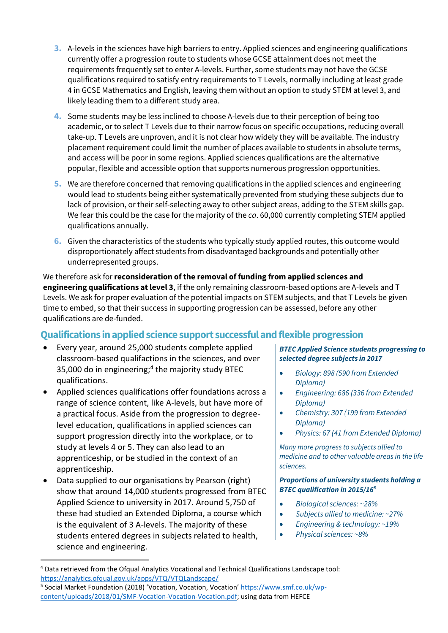- **3.** A-levels in the sciences have high barriers to entry. Applied sciences and engineering qualifications currently offer a progression route to students whose GCSE attainment does not meet the requirements frequently set to enter A-levels. Further, some students may not have the GCSE qualifications required to satisfy entry requirements to T Levels, normally including at least grade 4 in GCSE Mathematics and English, leaving them without an option to study STEM at level 3, and likely leading them to a different study area.
- **4.** Some students may be less inclined to choose A-levels due to their perception of being too academic, or to select T Levels due to their narrow focus on specific occupations, reducing overall take-up. T Levels are unproven, and it is not clear how widely they will be available. The industry placement requirement could limit the number of places available to students in absolute terms, and access will be poor in some regions. Applied sciences qualifications are the alternative popular, flexible and accessible option that supports numerous progression opportunities.
- **5.** We are therefore concerned that removing qualifications in the applied sciences and engineering would lead to students being either systematically prevented from studying these subjects due to lack of provision, or their self-selecting away to other subject areas, adding to the STEM skills gap. We fear this could be the case for the majority of the *ca*. 60,000 currently completing STEM applied qualifications annually.
- **6.** Given the characteristics of the students who typically study applied routes, this outcome would disproportionately affect students from disadvantaged backgrounds and potentially other underrepresented groups.

We therefore ask for **reconsideration of the removal of funding from applied sciences and engineering qualifications at level 3**, if the only remaining classroom-based options are A-levels and T Levels. We ask for proper evaluation of the potential impacts on STEM subjects, and that T Levels be given time to embed, so that their success in supporting progression can be assessed, before any other qualifications are de-funded.

## **Qualifications in applied science support successful and flexible progression**

- Every year, around 25,000 students complete applied classroom-based qualifactions in the sciences, and over 35,000 do in engineering; 4 the majority study BTEC qualifications.
- Applied sciences qualifications offer foundations across a range of science content, like A-levels, but have more of a practical focus. Aside from the progression to degreelevel education, qualifications in applied sciences can support progression directly into the workplace, or to study at levels 4 or 5. They can also lead to an apprenticeship, or be studied in the context of an apprenticeship.
- Data supplied to our organisations by Pearson (right) show that around 14,000 students progressed from BTEC Applied Science to university in 2017. Around 5,750 of these had studied an Extended Diploma, a course which is the equivalent of 3 A-levels. The majority of these students entered degrees in subjects related to health, science and engineering.

 $\overline{a}$ 

#### *BTEC Applied Science students progressing to selected degree subjects in 2017*

- *Biology: 898 (590 from Extended Diploma)*
- *Engineering: 686 (336 from Extended Diploma)*
- *Chemistry: 307 (199 from Extended Diploma)*
- *Physics: 67 (41 from Extended Diploma)*

*Many more progress to subjects allied to medicine and to other valuable areas in the life sciences.*

#### *Proportions of university students holding a BTEC qualification in 2015/16<sup>5</sup>*

- *Biological sciences: ~28%*
- *Subjects allied to medicine: ~27%*
- *Engineering & technology: ~19%*
- *Physical sciences: ~8%*

<sup>4</sup> Data retrieved from the Ofqual Analytics Vocational and Technical Qualifications Landscape tool: <https://analytics.ofqual.gov.uk/apps/VTQ/VTQLandscape/>

<sup>&</sup>lt;sup>5</sup> Social Market Foundation (2018) 'Vocation, Vocation, Vocation' [https://www.smf.co.uk/wp](https://www.smf.co.uk/wp-content/uploads/2018/01/SMF-Vocation-Vocation-Vocation.pdf)[content/uploads/2018/01/SMF-Vocation-Vocation-Vocation.pdf;](https://www.smf.co.uk/wp-content/uploads/2018/01/SMF-Vocation-Vocation-Vocation.pdf) using data from HEFCE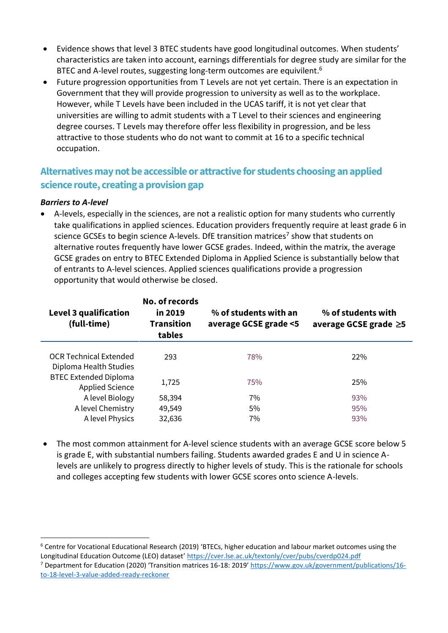- Evidence shows that level 3 BTEC students have good longitudinal outcomes. When students' characteristics are taken into account, earnings differentials for degree study are similar for the BTEC and A-level routes, suggesting long-term outcomes are equivilent.<sup>6</sup>
- Future progression opportunities from T Levels are not yet certain. There is an expectation in Government that they will provide progression to university as well as to the workplace. However, while T Levels have been included in the UCAS tariff, it is not yet clear that universities are willing to admit students with a T Level to their sciences and engineering degree courses. T Levels may therefore offer less flexibility in progression, and be less attractive to those students who do not want to commit at 16 to a specific technical occupation.

## **Alternatives may not be accessible or attractive for students choosing an applied science route, creating a provision gap**

#### *Barriers to A-level*

 $\overline{a}$ 

 A-levels, especially in the sciences, are not a realistic option for many students who currently take qualifications in applied sciences. Education providers frequently require at least grade 6 in science GCSEs to begin science A-levels. DfE transition matrices<sup>7</sup> show that students on alternative routes frequently have lower GCSE grades. Indeed, within the matrix, the average GCSE grades on entry to BTEC Extended Diploma in Applied Science is substantially below that of entrants to A-level sciences. Applied sciences qualifications provide a progression opportunity that would otherwise be closed.

| Level 3 qualification<br>(full-time)                    | No. of records<br>in 2019<br><b>Transition</b><br>tables | % of students with an<br>average GCSE grade <5 | % of students with<br>average GCSE grade $\geq$ 5 |
|---------------------------------------------------------|----------------------------------------------------------|------------------------------------------------|---------------------------------------------------|
| <b>OCR Technical Extended</b><br>Diploma Health Studies | 293                                                      | 78%                                            | 22%                                               |
| <b>BTEC Extended Diploma</b><br><b>Applied Science</b>  | 1,725                                                    | 75%                                            | 25%                                               |
| A level Biology                                         | 58,394                                                   | 7%                                             | 93%                                               |
| A level Chemistry                                       | 49,549                                                   | 5%                                             | 95%                                               |
| A level Physics                                         | 32,636                                                   | 7%                                             | 93%                                               |

 The most common attainment for A-level science students with an average GCSE score below 5 is grade E, with substantial numbers failing. Students awarded grades E and U in science Alevels are unlikely to progress directly to higher levels of study. This is the rationale for schools and colleges accepting few students with lower GCSE scores onto science A-levels.

<sup>6</sup> Centre for Vocational Educational Research (2019) 'BTECs, higher education and labour market outcomes using the Longitudinal Education Outcome (LEO) dataset' <https://cver.lse.ac.uk/textonly/cver/pubs/cverdp024.pdf>

<sup>7</sup> Department for Education (2020) 'Transition matrices 16-18: 2019' [https://www.gov.uk/government/publications/16](https://www.gov.uk/government/publications/16-to-18-level-3-value-added-ready-reckoner) [to-18-level-3-value-added-ready-reckoner](https://www.gov.uk/government/publications/16-to-18-level-3-value-added-ready-reckoner)